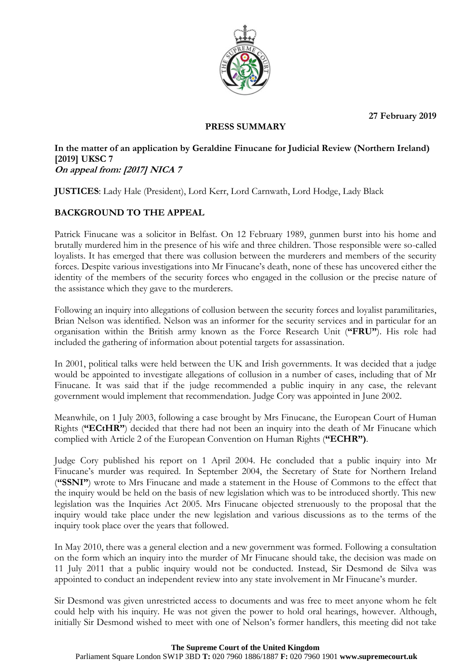**27 February 2019**



### **PRESS SUMMARY**

## **In the matter of an application by Geraldine Finucane for Judicial Review (Northern Ireland) [2019] UKSC 7 On appeal from: [2017] NICA 7**

**JUSTICES**: Lady Hale (President), Lord Kerr, Lord Carnwath, Lord Hodge, Lady Black

# **BACKGROUND TO THE APPEAL**

Patrick Finucane was a solicitor in Belfast. On 12 February 1989, gunmen burst into his home and brutally murdered him in the presence of his wife and three children. Those responsible were so-called loyalists. It has emerged that there was collusion between the murderers and members of the security forces. Despite various investigations into Mr Finucane's death, none of these has uncovered either the identity of the members of the security forces who engaged in the collusion or the precise nature of the assistance which they gave to the murderers.

Following an inquiry into allegations of collusion between the security forces and loyalist paramilitaries, Brian Nelson was identified. Nelson was an informer for the security services and in particular for an organisation within the British army known as the Force Research Unit (**"FRU"**). His role had included the gathering of information about potential targets for assassination.

In 2001, political talks were held between the UK and Irish governments. It was decided that a judge would be appointed to investigate allegations of collusion in a number of cases, including that of Mr Finucane. It was said that if the judge recommended a public inquiry in any case, the relevant government would implement that recommendation. Judge Cory was appointed in June 2002.

Meanwhile, on 1 July 2003, following a case brought by Mrs Finucane, the European Court of Human Rights (**"ECtHR"**) decided that there had not been an inquiry into the death of Mr Finucane which complied with Article 2 of the European Convention on Human Rights (**"ECHR")**.

Judge Cory published his report on 1 April 2004. He concluded that a public inquiry into Mr Finucane's murder was required. In September 2004, the Secretary of State for Northern Ireland (**"SSNI"**) wrote to Mrs Finucane and made a statement in the House of Commons to the effect that the inquiry would be held on the basis of new legislation which was to be introduced shortly. This new legislation was the Inquiries Act 2005. Mrs Finucane objected strenuously to the proposal that the inquiry would take place under the new legislation and various discussions as to the terms of the inquiry took place over the years that followed.

In May 2010, there was a general election and a new government was formed. Following a consultation on the form which an inquiry into the murder of Mr Finucane should take, the decision was made on 11 July 2011 that a public inquiry would not be conducted. Instead, Sir Desmond de Silva was appointed to conduct an independent review into any state involvement in Mr Finucane's murder.

Sir Desmond was given unrestricted access to documents and was free to meet anyone whom he felt could help with his inquiry. He was not given the power to hold oral hearings, however. Although, initially Sir Desmond wished to meet with one of Nelson's former handlers, this meeting did not take

#### **The Supreme Court of the United Kingdom**

Parliament Square London SW1P 3BD **T:** 020 7960 1886/1887 **F:** 020 7960 1901 **www.supremecourt.uk**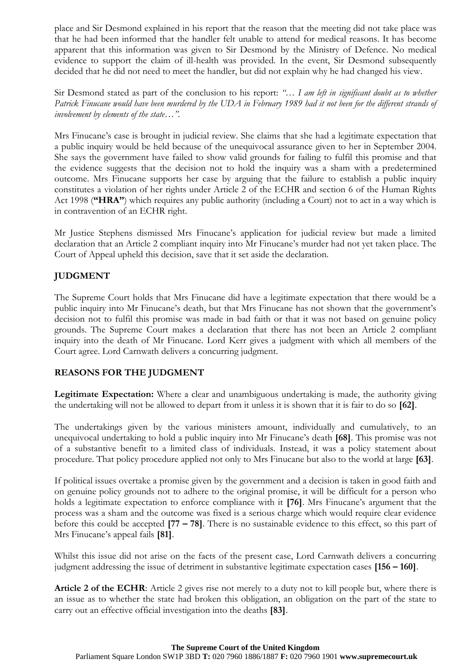place and Sir Desmond explained in his report that the reason that the meeting did not take place was that he had been informed that the handler felt unable to attend for medical reasons. It has become apparent that this information was given to Sir Desmond by the Ministry of Defence. No medical evidence to support the claim of ill-health was provided. In the event, Sir Desmond subsequently decided that he did not need to meet the handler, but did not explain why he had changed his view.

Sir Desmond stated as part of the conclusion to his report: *"… I am left in significant doubt as to whether Patrick Finucane would have been murdered by the UDA in February 1989 had it not been for the different strands of involvement by elements of the state…".*

Mrs Finucane's case is brought in judicial review. She claims that she had a legitimate expectation that a public inquiry would be held because of the unequivocal assurance given to her in September 2004. She says the government have failed to show valid grounds for failing to fulfil this promise and that the evidence suggests that the decision not to hold the inquiry was a sham with a predetermined outcome. Mrs Finucane supports her case by arguing that the failure to establish a public inquiry constitutes a violation of her rights under Article 2 of the ECHR and section 6 of the Human Rights Act 1998 (**"HRA"**) which requires any public authority (including a Court) not to act in a way which is in contravention of an ECHR right.

Mr Justice Stephens dismissed Mrs Finucane's application for judicial review but made a limited declaration that an Article 2 compliant inquiry into Mr Finucane's murder had not yet taken place. The Court of Appeal upheld this decision, save that it set aside the declaration.

## **JUDGMENT**

The Supreme Court holds that Mrs Finucane did have a legitimate expectation that there would be a public inquiry into Mr Finucane's death, but that Mrs Finucane has not shown that the government's decision not to fulfil this promise was made in bad faith or that it was not based on genuine policy grounds. The Supreme Court makes a declaration that there has not been an Article 2 compliant inquiry into the death of Mr Finucane. Lord Kerr gives a judgment with which all members of the Court agree. Lord Carnwath delivers a concurring judgment.

## **REASONS FOR THE JUDGMENT**

**Legitimate Expectation:** Where a clear and unambiguous undertaking is made, the authority giving the undertaking will not be allowed to depart from it unless it is shown that it is fair to do so **[62]**.

The undertakings given by the various ministers amount, individually and cumulatively, to an unequivocal undertaking to hold a public inquiry into Mr Finucane's death **[68]**. This promise was not of a substantive benefit to a limited class of individuals. Instead, it was a policy statement about procedure. That policy procedure applied not only to Mrs Finucane but also to the world at large **[63]**.

If political issues overtake a promise given by the government and a decision is taken in good faith and on genuine policy grounds not to adhere to the original promise, it will be difficult for a person who holds a legitimate expectation to enforce compliance with it **[76]**. Mrs Finucane's argument that the process was a sham and the outcome was fixed is a serious charge which would require clear evidence before this could be accepted **[77 – 78]**. There is no sustainable evidence to this effect, so this part of Mrs Finucane's appeal fails **[81]**.

Whilst this issue did not arise on the facts of the present case, Lord Carnwath delivers a concurring judgment addressing the issue of detriment in substantive legitimate expectation cases **[156 – 160]**.

**Article 2 of the ECHR**: Article 2 gives rise not merely to a duty not to kill people but, where there is an issue as to whether the state had broken this obligation, an obligation on the part of the state to carry out an effective official investigation into the deaths **[83]**.